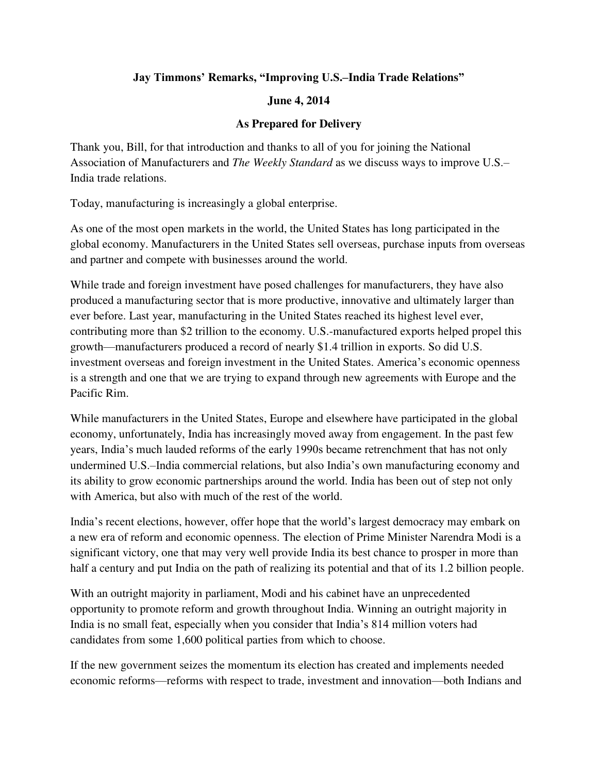## **Jay Timmons' Remarks, "Improving U.S.–India Trade Relations"**

## **June 4, 2014**

## **As Prepared for Delivery**

Thank you, Bill, for that introduction and thanks to all of you for joining the National Association of Manufacturers and *The Weekly Standard* as we discuss ways to improve U.S.– India trade relations.

Today, manufacturing is increasingly a global enterprise.

As one of the most open markets in the world, the United States has long participated in the global economy. Manufacturers in the United States sell overseas, purchase inputs from overseas and partner and compete with businesses around the world.

While trade and foreign investment have posed challenges for manufacturers, they have also produced a manufacturing sector that is more productive, innovative and ultimately larger than ever before. Last year, manufacturing in the United States reached its highest level ever, contributing more than \$2 trillion to the economy. U.S.-manufactured exports helped propel this growth—manufacturers produced a record of nearly \$1.4 trillion in exports. So did U.S. investment overseas and foreign investment in the United States. America's economic openness is a strength and one that we are trying to expand through new agreements with Europe and the Pacific Rim.

While manufacturers in the United States, Europe and elsewhere have participated in the global economy, unfortunately, India has increasingly moved away from engagement. In the past few years, India's much lauded reforms of the early 1990s became retrenchment that has not only undermined U.S.–India commercial relations, but also India's own manufacturing economy and its ability to grow economic partnerships around the world. India has been out of step not only with America, but also with much of the rest of the world.

India's recent elections, however, offer hope that the world's largest democracy may embark on a new era of reform and economic openness. The election of Prime Minister Narendra Modi is a significant victory, one that may very well provide India its best chance to prosper in more than half a century and put India on the path of realizing its potential and that of its 1.2 billion people.

With an outright majority in parliament, Modi and his cabinet have an unprecedented opportunity to promote reform and growth throughout India. Winning an outright majority in India is no small feat, especially when you consider that India's 814 million voters had candidates from some 1,600 political parties from which to choose.

If the new government seizes the momentum its election has created and implements needed economic reforms—reforms with respect to trade, investment and innovation—both Indians and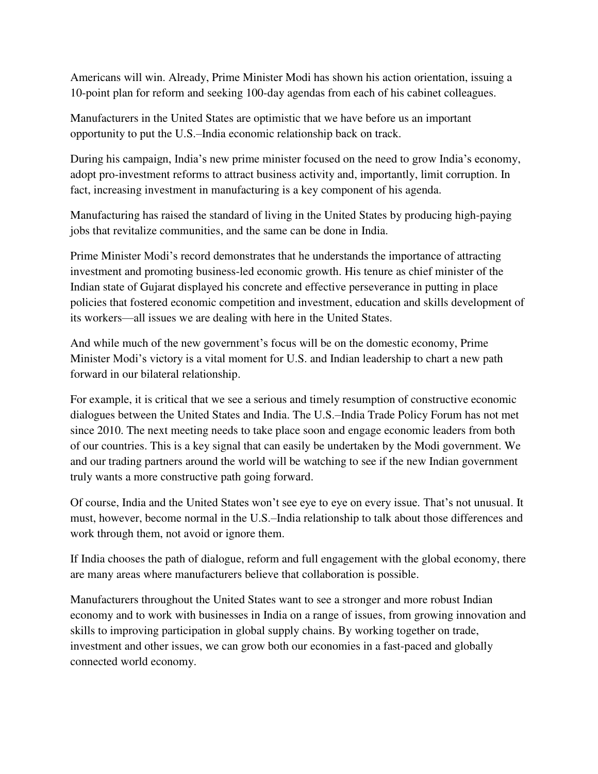Americans will win. Already, Prime Minister Modi has shown his action orientation, issuing a 10-point plan for reform and seeking 100-day agendas from each of his cabinet colleagues.

Manufacturers in the United States are optimistic that we have before us an important opportunity to put the U.S.–India economic relationship back on track.

During his campaign, India's new prime minister focused on the need to grow India's economy, adopt pro-investment reforms to attract business activity and, importantly, limit corruption. In fact, increasing investment in manufacturing is a key component of his agenda.

Manufacturing has raised the standard of living in the United States by producing high-paying jobs that revitalize communities, and the same can be done in India.

Prime Minister Modi's record demonstrates that he understands the importance of attracting investment and promoting business-led economic growth. His tenure as chief minister of the Indian state of Gujarat displayed his concrete and effective perseverance in putting in place policies that fostered economic competition and investment, education and skills development of its workers—all issues we are dealing with here in the United States.

And while much of the new government's focus will be on the domestic economy, Prime Minister Modi's victory is a vital moment for U.S. and Indian leadership to chart a new path forward in our bilateral relationship.

For example, it is critical that we see a serious and timely resumption of constructive economic dialogues between the United States and India. The U.S.–India Trade Policy Forum has not met since 2010. The next meeting needs to take place soon and engage economic leaders from both of our countries. This is a key signal that can easily be undertaken by the Modi government. We and our trading partners around the world will be watching to see if the new Indian government truly wants a more constructive path going forward.

Of course, India and the United States won't see eye to eye on every issue. That's not unusual. It must, however, become normal in the U.S.–India relationship to talk about those differences and work through them, not avoid or ignore them.

If India chooses the path of dialogue, reform and full engagement with the global economy, there are many areas where manufacturers believe that collaboration is possible.

Manufacturers throughout the United States want to see a stronger and more robust Indian economy and to work with businesses in India on a range of issues, from growing innovation and skills to improving participation in global supply chains. By working together on trade, investment and other issues, we can grow both our economies in a fast-paced and globally connected world economy.